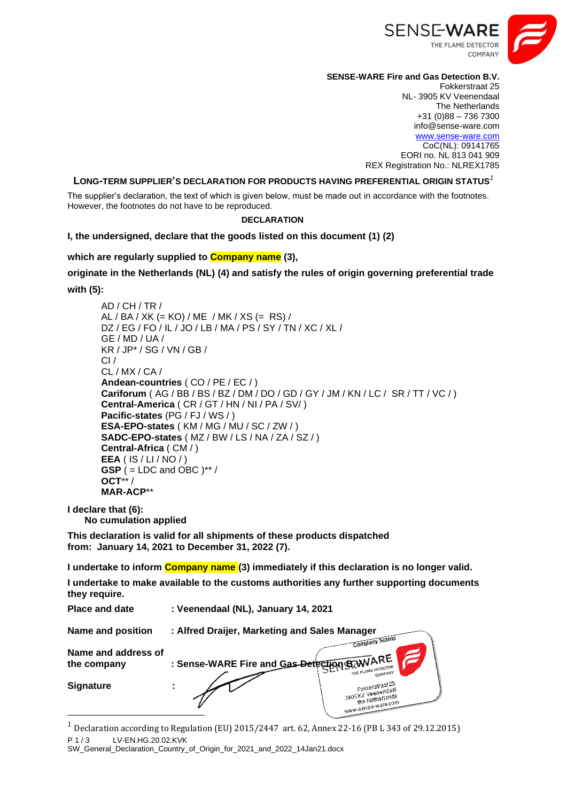

## **SENSE-WARE Fire and Gas Detection B.V.**

Fokkerstraat 25 NL- 3905 KV Veenendaal The Netherlands +31 (0)88 – 736 7300 info@sense-ware.com [www.sense-ware.com](http://www.sense-ware.com/) CoC(NL): 09141765 EORI no. NL 813 041 909 REX Registration No.: NLREX1785

#### **LONG-TERM SUPPLIER'S DECLARATION FOR PRODUCTS HAVING PREFERENTIAL ORIGIN STATUS***<sup>1</sup>*

The supplier's declaration, the text of which is given below, must be made out in accordance with the footnotes. However, the footnotes do not have to be reproduced.

## **DECLARATION**

**I, the undersigned, declare that the goods listed on this document (1) (2)**

**which are regularly supplied to Company name (3),** 

**originate in the Netherlands (NL) (4) and satisfy the rules of origin governing preferential trade with (5):**

AD / CH / TR / AL / BA / XK (= KO) / ME / MK / XS (= RS) / DZ / EG / FO / IL / JO / LB / MA / PS / SY / TN / XC / XL / GE / MD / UA / KR / JP\* / SG / VN / GB /  $Cl/$ CL / MX / CA / **Andean-countries** ( CO / PE / EC / ) **Cariforum** ( AG / BB / BS / BZ / DM / DO / GD / GY / JM / KN / LC / SR / TT / VC / ) **Central-America** ( CR / GT / HN / NI / PA / SV/ ) **Pacific-states** (PG / FJ / WS / ) **ESA-EPO-states** ( KM / MG / MU / SC / ZW / ) **SADC-EPO-states** ( MZ / BW / LS / NA / ZA / SZ / ) **Central-Africa** ( CM / ) **EEA** ( IS / LI / NO / ) **GSP** ( = LDC and OBC )\*\* / **OCT**\*\* / **MAR-ACP**\*\*

**I declare that (6):**

**No cumulation applied**

**This declaration is valid for all shipments of these products dispatched from: January 14, 2021 to December 31, 2022 (7).**

**I undertake to inform Company name (3) immediately if this declaration is no longer valid.**

**I undertake to make available to the customs authorities any further supporting documents they require.**

| <b>Place and date</b>              | : Veenendaal (NL), January 14, 2021           |                                                                               |  |
|------------------------------------|-----------------------------------------------|-------------------------------------------------------------------------------|--|
| <b>Name and position</b>           | : Alfred Draijer, Marketing and Sales Manager |                                                                               |  |
| Name and address of<br>the company | : Sense-WARE Fire and Gas-Detection B-WARE    | <b>Company Stamp</b><br>THE FLAME DETECTOR                                    |  |
| <b>Signature</b>                   |                                               | Fokkerstraat 25<br>3905KV Veenendaal<br>the Netherlands<br>www.sense-ware.com |  |

P 1 / 3 LV-EN.HG.20.02.KVK <sup>1</sup> Declaration according to Regulation (EU) 2015/2447 art. 62, Annex 22-16 (PB L 343 of 29.12.2015)

SW\_General\_Declaration\_Country\_of\_Origin\_for\_2021\_and\_2022\_14Jan21.docx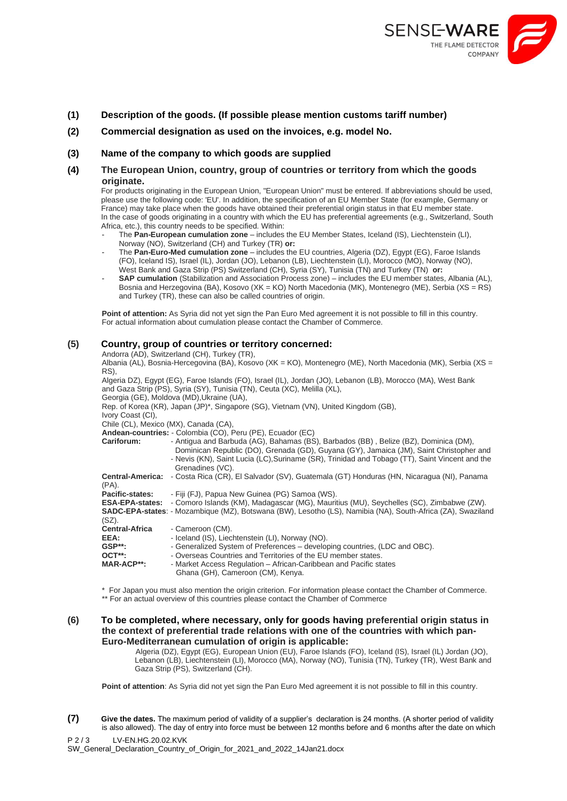

## **(1) Description of the goods. (If possible please mention customs tariff number)**

**(2) Commercial designation as used on the invoices, e.g. model No.**

## **(3) Name of the company to which goods are supplied**

**(4) The European Union, country, group of countries or territory from which the goods originate.**

For products originating in the European Union, "European Union" must be entered. If abbreviations should be used, please use the following code: 'EU'. In addition, the specification of an EU Member State (for example, Germany or France) may take place when the goods have obtained their preferential origin status in that EU member state. In the case of goods originating in a country with which the EU has preferential agreements (e.g., Switzerland, South Africa, etc.), this country needs to be specified. Within:

- The **Pan-European cumulation zone** includes the EU Member States, Iceland (IS), Liechtenstein (LI), Norway (NO), Switzerland (CH) and Turkey (TR) **or:**
- The Pan-Euro-Med cumulation zone includes the EU countries, Algeria (DZ), Egypt (EG), Faroe Islands (FO), Iceland IS), Israel (IL), Jordan (JO), Lebanon (LB), Liechtenstein (LI), Morocco (MO), Norway (NO), West Bank and Gaza Strip (PS) Switzerland (CH), Syria (SY), Tunisia (TN) and Turkey (TN) **or:**
- **SAP cumulation** (Stabilization and Association Process zone) includes the EU member states, Albania (AL), Bosnia and Herzegovina (BA), Kosovo (XK = KO) North Macedonia (MK), Montenegro (ME), Serbia (XS = RS) and Turkey (TR), these can also be called countries of origin.

Point of attention: As Syria did not yet sign the Pan Euro Med agreement it is not possible to fill in this country. For actual information about cumulation please contact the Chamber of Commerce.

#### **(5) Country, group of countries or territory concerned:**

Andorra (AD), Switzerland (CH), Turkey (TR),

Albania (AL), Bosnia-Hercegovina (BA), Kosovo (XK = KO), Montenegro (ME), North Macedonia (MK), Serbia (XS = RS),

Algeria DZ), Egypt (EG), Faroe Islands (FO), Israel (IL), Jordan (JO), Lebanon (LB), Morocco (MA), West Bank and Gaza Strip (PS), Syria (SY), Tunisia (TN), Ceuta (XC), Melilla (XL), Georgia (GE), Moldova (MD),Ukraine (UA), Rep. of Korea (KR), Japan (JP)\*, Singapore (SG), Vietnam (VN), United Kingdom (GB), Ivory Coast (CI), Chile (CL), Mexico (MX), Canada (CA), **Andean-countries:** - Colombia (CO), Peru (PE), Ecuador (EC)

| Cariforum:                       | - Antigua and Barbuda (AG), Bahamas (BS), Barbados (BB), Belize (BZ), Dominica (DM),<br>Dominican Republic (DO), Grenada (GD), Guyana (GY), Jamaica (JM), Saint Christopher and<br>- Nevis (KN), Saint Lucia (LC), Suriname (SR), Trinidad and Tobago (TT), Saint Vincent and the |
|----------------------------------|-----------------------------------------------------------------------------------------------------------------------------------------------------------------------------------------------------------------------------------------------------------------------------------|
|                                  | Grenadines (VC).                                                                                                                                                                                                                                                                  |
| <b>Central-America:</b><br>(PA). | - Costa Rica (CR), El Salvador (SV), Guatemala (GT) Honduras (HN, Nicaragua (NI), Panama                                                                                                                                                                                          |
| Pacific-states:                  | - Fiji (FJ), Papua New Guinea (PG) Samoa (WS).                                                                                                                                                                                                                                    |
|                                  | <b>ESA-EPA-states:</b> - Comoro Islands (KM), Madagascar (MG), Mauritius (MU), Seychelles (SC), Zimbabwe (ZW).                                                                                                                                                                    |
| $(SZ)$ .                         | <b>SADC-EPA-states:</b> - Mozambique (MZ), Botswana (BW), Lesotho (LS), Namibia (NA), South-Africa (ZA), Swaziland                                                                                                                                                                |
| <b>Central-Africa</b>            | - Cameroon (CM).                                                                                                                                                                                                                                                                  |
| EEA:                             | - Iceland (IS), Liechtenstein (LI), Norway (NO).                                                                                                                                                                                                                                  |
| $GSP**:$                         | - Generalized System of Preferences – developing countries, (LDC and OBC).                                                                                                                                                                                                        |
| OCT**:                           | - Overseas Countries and Territories of the EU member states.                                                                                                                                                                                                                     |
| <b>MAR-ACP**:</b>                | - Market Access Regulation – African-Caribbean and Pacific states<br>Ghana (GH), Cameroon (CM), Kenya.                                                                                                                                                                            |

\* For Japan you must also mention the origin criterion. For information please contact the Chamber of Commerce. \*\* For an actual overview of this countries please contact the Chamber of Commerce

**(6) To be completed, where necessary, only for goods having preferential origin status in the context of preferential trade relations with one of the countries with which pan-Euro-Mediterranean cumulation of origin is applicable:**

Algeria (DZ), Egypt (EG), European Union (EU), Faroe Islands (FO), Iceland (IS), Israel (IL) Jordan (JO), Lebanon (LB), Liechtenstein (LI), Morocco (MA), Norway (NO), Tunisia (TN), Turkey (TR), West Bank and Gaza Strip (PS), Switzerland (CH).

**Point of attention**: As Syria did not yet sign the Pan Euro Med agreement it is not possible to fill in this country.

P 2 / 3 LV-EN.HG.20.02.KVK **(7) Give the dates.** The maximum period of validity of a supplier's declaration is 24 months. (A shorter period of validity is also allowed). The day of entry into force must be between 12 months before and 6 months after the date on which

SW\_General\_Declaration\_Country\_of\_Origin\_for\_2021\_and\_2022\_14Jan21.docx